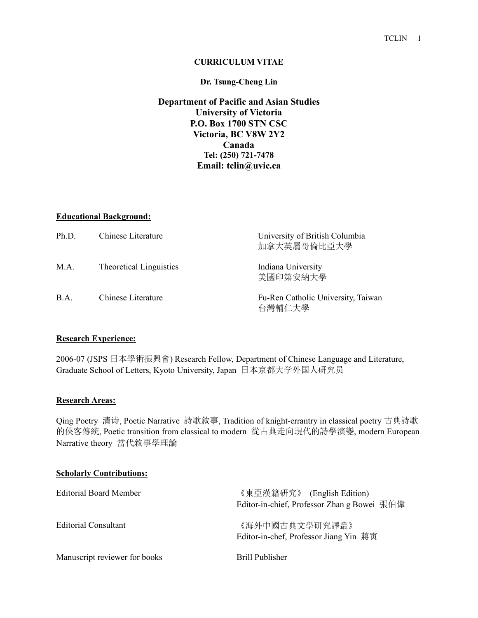#### **CURRICULUM VITAE**

#### **Dr. Tsung-Cheng Lin**

### **Department of Pacific and Asian Studies University of Victoria P.O. Box 1700 STN CSC Victoria, BC V8W 2Y2 Canada Tel: (250) 721-7478 Email: tclin@uvic.ca**

#### **Educational Background:**

| Ph.D. | Chinese Literature             | University of British Columbia<br>加拿大英屬哥倫比亞大學 |
|-------|--------------------------------|-----------------------------------------------|
| M.A.  | <b>Theoretical Linguistics</b> | Indiana University<br>美國印第安納大學                |
| B.A.  | Chinese Literature             | Fu-Ren Catholic University, Taiwan<br>台灣輔仁大學  |

#### **Research Experience:**

2006-07 (JSPS 日本學術振興會) Research Fellow, Department of Chinese Language and Literature, Graduate School of Letters, Kyoto University, Japan 日本京都大学外国人研究员

#### **Research Areas:**

Qing Poetry 清诗, Poetic Narrative 詩歌敘事, Tradition of knight-errantry in classical poetry 古典詩歌 的俠客傳統, Poetic transition from classical to modern 從古典走向現代的詩學演變, modern European Narrative theory 當代敘事學理論

| <b>Scholarly Contributions:</b> |                                                                           |
|---------------------------------|---------------------------------------------------------------------------|
| <b>Editorial Board Member</b>   | 《東亞漢籍研究》 (English Edition)<br>Editor-in-chief, Professor Zhan g Bowei 張伯偉 |
| <b>Editorial Consultant</b>     | 《海外中國古典文學研究譯叢》<br>Editor-in-chef, Professor Jiang Yin 蔣寅                  |
| Manuscript reviewer for books   | Brill Publisher                                                           |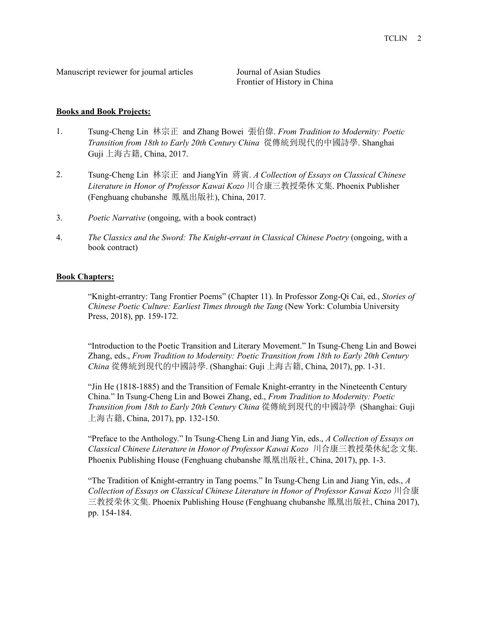Manuscript reviewer for journal articles Journal of Asian Studies

Frontier of History in China

#### **Books and Book Projects:**

- 1. Tsung-Cheng Lin 林宗正 and Zhang Bowei 張伯偉. *From Tradition to Modernity: Poetic Transition from 18th to Early 20th Century China* 從傳統到現代的中國詩學. Shanghai Guji 上海古籍, China, 2017.
- 2. Tsung-Cheng Lin 林宗正 and JiangYin 蔣寅. *A Collection of Essays on Classical Chinese Literature in Honor of Professor Kawai Kozo* 川合康三教授榮休文集. Phoenix Publisher (Fenghuang chubanshe 鳳凰出版社), China, 2017.
- 3. *Poetic Narrative* (ongoing, with a book contract)
- 4. *The Classics and the Sword: The Knight-errant in Classical Chinese Poetry* (ongoing, with a book contract)

### **Book Chapters:**

"Knight-errantry: Tang Frontier Poems" (Chapter 11). In Professor Zong-Qi Cai, ed., *Stories of Chinese Poetic Culture: Earliest Times through the Tang* (New York: Columbia University Press, 2018), pp. 159-172.

"Introduction to the Poetic Transition and Literary Movement." In Tsung-Cheng Lin and Bowei Zhang, eds., *From Tradition to Modernity: Poetic Transition from 18th to Early 20th Century China* 從傳統到現代的中國詩學. (Shanghai: Guji 上海古籍, China, 2017), pp. 1-31.

"Jin He (1818-1885) and the Transition of Female Knight-errantry in the Nineteenth Century China." In Tsung-Cheng Lin and Bowei Zhang, ed., *From Tradition to Modernity: Poetic Transition from 18th to Early 20th Century China* 從傳統到現代的中國詩學 (Shanghai: Guji 上海古籍, China, 2017), pp. 132-150.

"Preface to the Anthology." In Tsung-Cheng Lin and Jiang Yin, eds., *A Collection of Essays on Classical Chinese Literature in Honor of Professor Kawai Kozo* 川合康三教授榮休紀念文集. Phoenix Publishing House (Fenghuang chubanshe 鳳凰出版社, China, 2017), pp. 1-3.

"The Tradition of Knight-errantry in Tang poems." In Tsung-Cheng Lin and Jiang Yin, eds., *A Collection of Essays on Classical Chinese Literature in Honor of Professor Kawai Kozo* 川合康 三教授荣休文集. Phoenix Publishing House (Fenghuang chubanshe 鳳凰出版社, China 2017), pp. 154-184.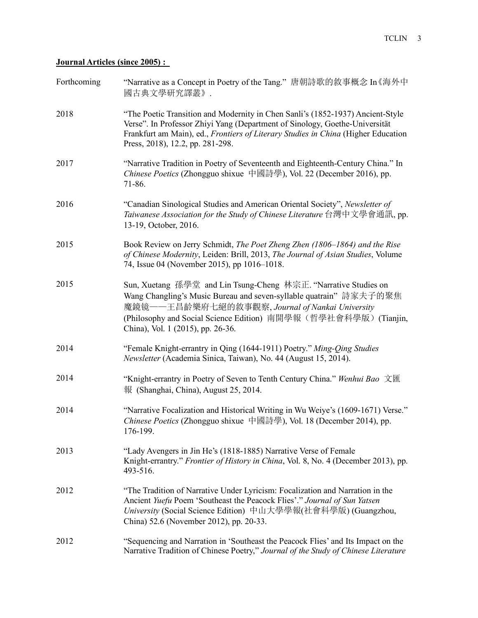## **Journal Articles (since 2005) :**

| Forthcoming | "Narrative as a Concept in Poetry of the Tang." 唐朝詩歌的敘事概念 In 《海外中<br>國古典文學研究譯叢》.                                                                                                                                                                                                                 |
|-------------|--------------------------------------------------------------------------------------------------------------------------------------------------------------------------------------------------------------------------------------------------------------------------------------------------|
| 2018        | "The Poetic Transition and Modernity in Chen Sanli's (1852-1937) Ancient-Style<br>Verse". In Professor Zhiyi Yang (Department of Sinology, Goethe-Universität<br>Frankfurt am Main), ed., Frontiers of Literary Studies in China (Higher Education<br>Press, 2018), 12.2, pp. 281-298.           |
| 2017        | "Narrative Tradition in Poetry of Seventeenth and Eighteenth-Century China." In<br>Chinese Poetics (Zhongguo shixue 中國詩學), Vol. 22 (December 2016), pp.<br>71-86.                                                                                                                                |
| 2016        | "Canadian Sinological Studies and American Oriental Society", Newsletter of<br>Taiwanese Association for the Study of Chinese Literature 台灣中文學會通訊, pp.<br>13-19, October, 2016.                                                                                                                  |
| 2015        | Book Review on Jerry Schmidt, The Poet Zheng Zhen (1806–1864) and the Rise<br>of Chinese Modernity, Leiden: Brill, 2013, The Journal of Asian Studies, Volume<br>74, Issue 04 (November 2015), pp 1016-1018.                                                                                     |
| 2015        | Sun, Xuetang 孫學堂 and Lin Tsung-Cheng 林宗正. "Narrative Studies on<br>Wang Changling's Music Bureau and seven-syllable quatrain" 詩家夫子的聚焦<br>魔鏡镜——王昌齡樂府七絕的敘事觀察, Journal of Nankai University<br>(Philosophy and Social Science Edition) 南開學報(哲學社會科學版) (Tianjin,<br>China), Vol. 1 (2015), pp. 26-36. |
| 2014        | "Female Knight-errantry in Qing (1644-1911) Poetry." Ming-Qing Studies<br>Newsletter (Academia Sinica, Taiwan), No. 44 (August 15, 2014).                                                                                                                                                        |
| 2014        | "Knight-errantry in Poetry of Seven to Tenth Century China." Wenhui Bao 文匯<br>報 (Shanghai, China), August 25, 2014.                                                                                                                                                                              |
| 2014        | "Narrative Focalization and Historical Writing in Wu Weiye's (1609-1671) Verse."<br>Chinese Poetics (Zhongguo shixue 中國詩學), Vol. 18 (December 2014), pp.<br>176-199.                                                                                                                             |
| 2013        | "Lady Avengers in Jin He's (1818-1885) Narrative Verse of Female<br>Knight-errantry." Frontier of History in China, Vol. 8, No. 4 (December 2013), pp.<br>493-516.                                                                                                                               |
| 2012        | "The Tradition of Narrative Under Lyricism: Focalization and Narration in the<br>Ancient Yuefu Poem 'Southeast the Peacock Flies'." Journal of Sun Yatsen<br>University (Social Science Edition) 中山大學學報(社會科學版) (Guangzhou,<br>China) 52.6 (November 2012), pp. 20-33.                            |
| 2012        | "Sequencing and Narration in 'Southeast the Peacock Flies' and Its Impact on the<br>Narrative Tradition of Chinese Poetry," Journal of the Study of Chinese Literature                                                                                                                           |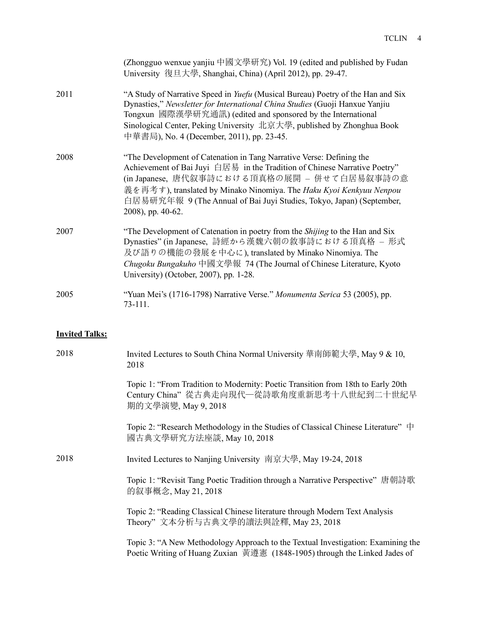|                       | (Zhongguo wenxue yanjiu 中國文學研究) Vol. 19 (edited and published by Fudan<br>University 復旦大學, Shanghai, China) (April 2012), pp. 29-47.                                                                                                                                                                                                                                 |
|-----------------------|----------------------------------------------------------------------------------------------------------------------------------------------------------------------------------------------------------------------------------------------------------------------------------------------------------------------------------------------------------------------|
| 2011                  | "A Study of Narrative Speed in <i>Yuefu</i> (Musical Bureau) Poetry of the Han and Six<br>Dynasties," Newsletter for International China Studies (Guoji Hanxue Yanjiu<br>Tongxun 國際漢學研究通訊) (edited and sponsored by the International<br>Sinological Center, Peking University 北京大學, published by Zhonghua Book<br>中華書局), No. 4 (December, 2011), pp. 23-45.         |
| 2008                  | "The Development of Catenation in Tang Narrative Verse: Defining the<br>Achievement of Bai Juyi 白居易 in the Tradition of Chinese Narrative Poetry"<br>(in Japanese, 唐代叙事詩における頂真格の展開 - 併せて白居易叙事詩の意<br>義を再考す), translated by Minako Ninomiya. The Haku Kyoi Kenkyuu Nenpou<br>白居易研究年報 9 (The Annual of Bai Juyi Studies, Tokyo, Japan) (September,<br>2008), pp. 40-62. |
| 2007                  | "The Development of Catenation in poetry from the Shijing to the Han and Six<br>Dynasties" (in Japanese, 詩經から漢魏六朝の敘事詩における頂真格 - 形式<br>及び語りの機能の發展を中心に), translated by Minako Ninomiya. The<br>Chugoku Bungakuho 中國文學報 74 (The Journal of Chinese Literature, Kyoto<br>University) (October, 2007), pp. 1-28.                                                           |
| 2005                  | "Yuan Mei's (1716-1798) Narrative Verse." Monumenta Serica 53 (2005), pp.<br>73-111.                                                                                                                                                                                                                                                                                 |
| <b>Invited Talks:</b> |                                                                                                                                                                                                                                                                                                                                                                      |
| 2018                  | Invited Lectures to South China Normal University 華南師範大學, May 9 & 10,<br>2018                                                                                                                                                                                                                                                                                        |
|                       | Topic 1: "From Tradition to Modernity: Poetic Transition from 18th to Early 20th<br>Century China"從古典走向現代—從詩歌角度重新思考十八世紀到二十世紀早<br>期的文學演變, May 9, 2018                                                                                                                                                                                                                 |
|                       | Topic 2: "Research Methodology in the Studies of Classical Chinese Literature" 中<br>國古典文學研究方法座談, May 10, 2018                                                                                                                                                                                                                                                        |
| 2018                  | Invited Lectures to Nanjing University 南京大學, May 19-24, 2018                                                                                                                                                                                                                                                                                                         |
|                       | Topic 1: "Revisit Tang Poetic Tradition through a Narrative Perspective" 唐朝詩歌<br>的叙事概念, May 21, 2018                                                                                                                                                                                                                                                                 |
|                       | Topic 2: "Reading Classical Chinese literature through Modern Text Analysis<br>Theory"文本分析与古典文學的讀法與詮釋, May 23, 2018                                                                                                                                                                                                                                                  |
|                       |                                                                                                                                                                                                                                                                                                                                                                      |

Topic 3: "A New Methodology Approach to the Textual Investigation: Examining the Poetic Writing of Huang Zuxian 黃遵憲 (1848-1905) through the Linked Jades of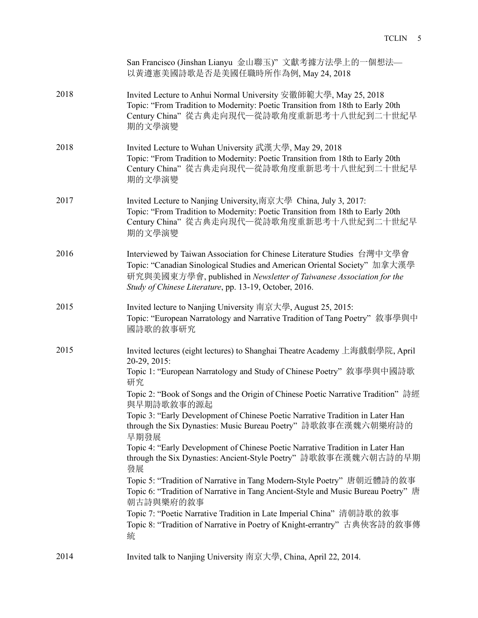|      | San Francisco (Jinshan Lianyu 金山聯玉)"文獻考據方法學上的一個想法—<br>以黃遵憲美國詩歌是否是美國任職時所作為例, May 24, 2018                                                                                                                                                                                                                                                                                                                                                                                                                                                                                                                                                                                                                                                                                                                                                                                                                                             |
|------|--------------------------------------------------------------------------------------------------------------------------------------------------------------------------------------------------------------------------------------------------------------------------------------------------------------------------------------------------------------------------------------------------------------------------------------------------------------------------------------------------------------------------------------------------------------------------------------------------------------------------------------------------------------------------------------------------------------------------------------------------------------------------------------------------------------------------------------------------------------------------------------------------------------------------------------|
| 2018 | Invited Lecture to Anhui Normal University 安徽師範大學, May 25, 2018<br>Topic: "From Tradition to Modernity: Poetic Transition from 18th to Early 20th<br>Century China"從古典走向現代一從詩歌角度重新思考十八世紀到二十世紀早<br>期的文學演變                                                                                                                                                                                                                                                                                                                                                                                                                                                                                                                                                                                                                                                                                                                             |
| 2018 | Invited Lecture to Wuhan University 武漢大學, May 29, 2018<br>Topic: "From Tradition to Modernity: Poetic Transition from 18th to Early 20th<br>Century China"從古典走向現代—從詩歌角度重新思考十八世紀到二十世紀早<br>期的文學演變                                                                                                                                                                                                                                                                                                                                                                                                                                                                                                                                                                                                                                                                                                                                      |
| 2017 | Invited Lecture to Nanjing University,南京大學 China, July 3, 2017:<br>Topic: "From Tradition to Modernity: Poetic Transition from 18th to Early 20th<br>Century China"從古典走向現代—從詩歌角度重新思考十八世紀到二十世紀早<br>期的文學演變                                                                                                                                                                                                                                                                                                                                                                                                                                                                                                                                                                                                                                                                                                                             |
| 2016 | Interviewed by Taiwan Association for Chinese Literature Studies 台灣中文學會<br>Topic: "Canadian Sinological Studies and American Oriental Society" 加拿大漢學<br>研究與美國東方學會, published in Newsletter of Taiwanese Association for the<br>Study of Chinese Literature, pp. 13-19, October, 2016.                                                                                                                                                                                                                                                                                                                                                                                                                                                                                                                                                                                                                                                |
| 2015 | Invited lecture to Nanjing University 南京大學, August 25, 2015:<br>Topic: "European Narratology and Narrative Tradition of Tang Poetry" 敘事學與中<br>國詩歌的敘事研究                                                                                                                                                                                                                                                                                                                                                                                                                                                                                                                                                                                                                                                                                                                                                                               |
| 2015 | Invited lectures (eight lectures) to Shanghai Theatre Academy 上海戲劇學院, April<br>20-29, 2015:<br>Topic 1: "European Narratology and Study of Chinese Poetry" 敘事學與中國詩歌<br>研究<br>Topic 2: "Book of Songs and the Origin of Chinese Poetic Narrative Tradition" 詩經<br>與早期詩歌敘事的源起<br>Topic 3: "Early Development of Chinese Poetic Narrative Tradition in Later Han<br>through the Six Dynasties: Music Bureau Poetry"詩歌敘事在漢魏六朝樂府詩的<br>早期發展<br>Topic 4: "Early Development of Chinese Poetic Narrative Tradition in Later Han<br>through the Six Dynasties: Ancient-Style Poetry"詩歌敘事在漢魏六朝古詩的早期<br>發展<br>Topic 5: "Tradition of Narrative in Tang Modern-Style Poetry" 唐朝近體詩的敘事<br>Topic 6: "Tradition of Narrative in Tang Ancient-Style and Music Bureau Poetry" 唐<br>朝古詩與樂府的敘事<br>Topic 7: "Poetic Narrative Tradition in Late Imperial China" 清朝詩歌的敘事<br>Topic 8: "Tradition of Narrative in Poetry of Knight-errantry" 古典俠客詩的敘事傳<br>統 |
| 2014 | Invited talk to Nanjing University 南京大學, China, April 22, 2014.                                                                                                                                                                                                                                                                                                                                                                                                                                                                                                                                                                                                                                                                                                                                                                                                                                                                      |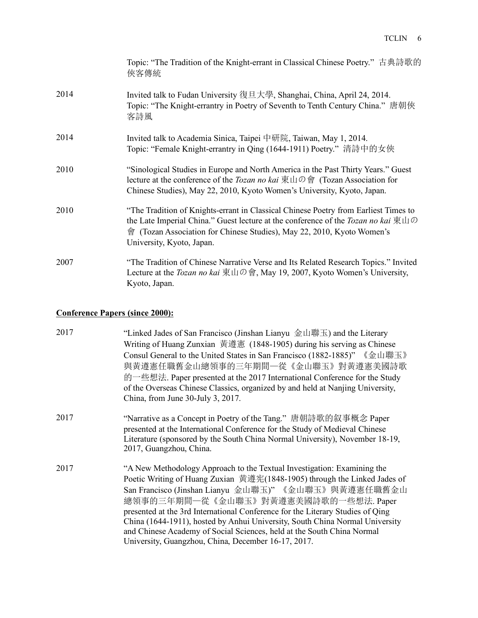|      | Topic: "The Tradition of the Knight-errant in Classical Chinese Poetry." 古典詩歌的<br>俠客傳統                                                                                                                                                                                                                                       |
|------|------------------------------------------------------------------------------------------------------------------------------------------------------------------------------------------------------------------------------------------------------------------------------------------------------------------------------|
| 2014 | Invited talk to Fudan University 復旦大學, Shanghai, China, April 24, 2014.<br>Topic: "The Knight-errantry in Poetry of Seventh to Tenth Century China." 唐朝俠<br>客詩風                                                                                                                                                              |
| 2014 | Invited talk to Academia Sinica, Taipei 中研院, Taiwan, May 1, 2014.<br>Topic: "Female Knight-errantry in Qing (1644-1911) Poetry." 清詩中的女俠                                                                                                                                                                                      |
| 2010 | "Sinological Studies in Europe and North America in the Past Thirty Years." Guest<br>lecture at the conference of the <i>Tozan no kai</i> $\overline{\text{R}} \perp \text{I} \oplus \mathbf{\hat{e}}$ (Tozan Association for<br>Chinese Studies), May 22, 2010, Kyoto Women's University, Kyoto, Japan.                     |
| 2010 | "The Tradition of Knights-errant in Classical Chinese Poetry from Earliest Times to<br>the Late Imperial China." Guest lecture at the conference of the <i>Tozan no kai</i> $\overline{\mathcal{R}}$ $\Box$ $\oslash$<br>會 (Tozan Association for Chinese Studies), May 22, 2010, Kyoto Women's<br>University, Kyoto, Japan. |
| 2007 | "The Tradition of Chinese Narrative Verse and Its Related Research Topics." Invited<br>Lecture at the <i>Tozan no kai</i> 東山の會, May 19, 2007, Kyoto Women's University,<br>Kyoto, Japan.                                                                                                                                     |

# **Conference Papers (since 2000):**

| 2017 | "Linked Jades of San Francisco (Jinshan Lianyu 金山聯玉) and the Literary<br>Writing of Huang Zunxian 黃遵憲 (1848-1905) during his serving as Chinese<br>Consul General to the United States in San Francisco (1882-1885)"《金山聯玉》<br>與黃遵憲任職舊金山總領事的三年期間一從《金山聯玉》對黃遵憲美國詩歌<br>的一些想法. Paper presented at the 2017 International Conference for the Study<br>of the Overseas Chinese Classics, organized by and held at Nanjing University,<br>China, from June 30-July 3, 2017.                                                                                    |
|------|--------------------------------------------------------------------------------------------------------------------------------------------------------------------------------------------------------------------------------------------------------------------------------------------------------------------------------------------------------------------------------------------------------------------------------------------------------------------------------------------------------------------------------------------------------|
| 2017 | "Narrative as a Concept in Poetry of the Tang." 唐朝詩歌的叙事概念 Paper<br>presented at the International Conference for the Study of Medieval Chinese<br>Literature (sponsored by the South China Normal University), November 18-19,<br>2017, Guangzhou, China.                                                                                                                                                                                                                                                                                              |
| 2017 | "A New Methodology Approach to the Textual Investigation: Examining the<br>Poetic Writing of Huang Zuxian 黄遵宪(1848-1905) through the Linked Jades of<br>San Francisco (Jinshan Lianyu 金山聯玉)"《金山聯玉》與黃遵憲任職舊金山<br>總領事的三年期間一從《金山聯玉》對黃遵憲美國詩歌的一些想法. Paper<br>presented at the 3rd International Conference for the Literary Studies of Qing<br>China (1644-1911), hosted by Anhui University, South China Normal University<br>and Chinese Academy of Social Sciences, held at the South China Normal<br>University, Guangzhou, China, December 16-17, 2017. |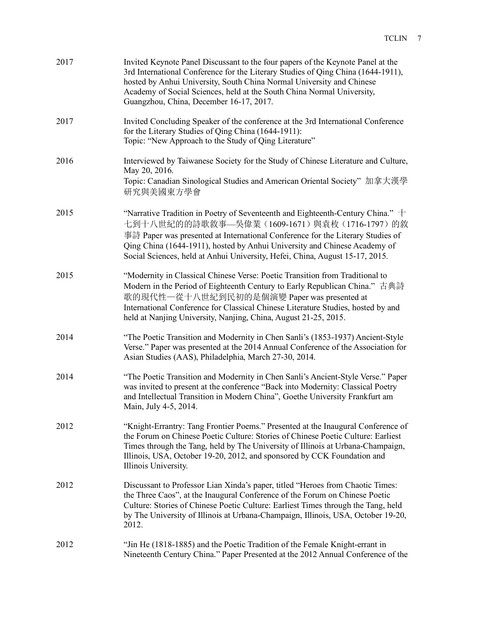| 2017 | Invited Keynote Panel Discussant to the four papers of the Keynote Panel at the<br>3rd International Conference for the Literary Studies of Qing China (1644-1911),<br>hosted by Anhui University, South China Normal University and Chinese<br>Academy of Social Sciences, held at the South China Normal University,<br>Guangzhou, China, December 16-17, 2017.              |
|------|--------------------------------------------------------------------------------------------------------------------------------------------------------------------------------------------------------------------------------------------------------------------------------------------------------------------------------------------------------------------------------|
| 2017 | Invited Concluding Speaker of the conference at the 3rd International Conference<br>for the Literary Studies of Qing China (1644-1911):<br>Topic: "New Approach to the Study of Qing Literature"                                                                                                                                                                               |
| 2016 | Interviewed by Taiwanese Society for the Study of Chinese Literature and Culture,<br>May 20, 2016.<br>Topic: Canadian Sinological Studies and American Oriental Society"加拿大漢學<br>研究與美國東方學會                                                                                                                                                                                     |
| 2015 | "Narrative Tradition in Poetry of Seventeenth and Eighteenth-Century China." $+$<br>七到十八世紀的的詩歌敘事—吳偉業(1609-1671)與袁枚(1716-1797)的敘<br>事詩 Paper was presented at International Conference for the Literary Studies of<br>Qing China (1644-1911), hosted by Anhui University and Chinese Academy of<br>Social Sciences, held at Anhui University, Hefei, China, August 15-17, 2015. |
| 2015 | "Modernity in Classical Chinese Verse: Poetic Transition from Traditional to<br>Modern in the Period of Eighteenth Century to Early Republican China." 古典詩<br>歌的現代性一從十八世紀到民初的是個演變 Paper was presented at<br>International Conference for Classical Chinese Literature Studies, hosted by and<br>held at Nanjing University, Nanjing, China, August 21-25, 2015.                |
| 2014 | "The Poetic Transition and Modernity in Chen Sanli's (1853-1937) Ancient-Style<br>Verse." Paper was presented at the 2014 Annual Conference of the Association for<br>Asian Studies (AAS), Philadelphia, March 27-30, 2014.                                                                                                                                                    |
| 2014 | "The Poetic Transition and Modernity in Chen Sanli's Ancient-Style Verse." Paper<br>was invited to present at the conference "Back into Modernity: Classical Poetry<br>and Intellectual Transition in Modern China", Goethe University Frankfurt am<br>Main, July 4-5, 2014.                                                                                                   |
| 2012 | "Knight-Errantry: Tang Frontier Poems." Presented at the Inaugural Conference of<br>the Forum on Chinese Poetic Culture: Stories of Chinese Poetic Culture: Earliest<br>Times through the Tang, held by The University of Illinois at Urbana-Champaign,<br>Illinois, USA, October 19-20, 2012, and sponsored by CCK Foundation and<br>Illinois University.                     |
| 2012 | Discussant to Professor Lian Xinda's paper, titled "Heroes from Chaotic Times:<br>the Three Caos", at the Inaugural Conference of the Forum on Chinese Poetic<br>Culture: Stories of Chinese Poetic Culture: Earliest Times through the Tang, held<br>by The University of Illinois at Urbana-Champaign, Illinois, USA, October 19-20,<br>2012.                                |
| 2012 | "Jin He (1818-1885) and the Poetic Tradition of the Female Knight-errant in<br>Nineteenth Century China." Paper Presented at the 2012 Annual Conference of the                                                                                                                                                                                                                 |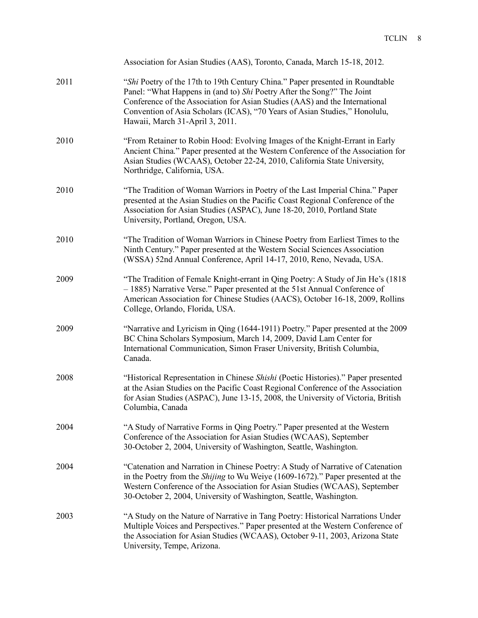|      | Association for Asian Studies (AAS), Toronto, Canada, March 15-18, 2012.                                                                                                                                                                                                                                                                                |
|------|---------------------------------------------------------------------------------------------------------------------------------------------------------------------------------------------------------------------------------------------------------------------------------------------------------------------------------------------------------|
| 2011 | "Shi Poetry of the 17th to 19th Century China." Paper presented in Roundtable<br>Panel: "What Happens in (and to) Shi Poetry After the Song?" The Joint<br>Conference of the Association for Asian Studies (AAS) and the International<br>Convention of Asia Scholars (ICAS), "70 Years of Asian Studies," Honolulu,<br>Hawaii, March 31-April 3, 2011. |
| 2010 | "From Retainer to Robin Hood: Evolving Images of the Knight-Errant in Early<br>Ancient China." Paper presented at the Western Conference of the Association for<br>Asian Studies (WCAAS), October 22-24, 2010, California State University,<br>Northridge, California, USA.                                                                             |
| 2010 | "The Tradition of Woman Warriors in Poetry of the Last Imperial China." Paper<br>presented at the Asian Studies on the Pacific Coast Regional Conference of the<br>Association for Asian Studies (ASPAC), June 18-20, 2010, Portland State<br>University, Portland, Oregon, USA.                                                                        |
| 2010 | "The Tradition of Woman Warriors in Chinese Poetry from Earliest Times to the<br>Ninth Century." Paper presented at the Western Social Sciences Association<br>(WSSA) 52nd Annual Conference, April 14-17, 2010, Reno, Nevada, USA.                                                                                                                     |
| 2009 | "The Tradition of Female Knight-errant in Qing Poetry: A Study of Jin He's (1818<br>- 1885) Narrative Verse." Paper presented at the 51st Annual Conference of<br>American Association for Chinese Studies (AACS), October 16-18, 2009, Rollins<br>College, Orlando, Florida, USA.                                                                      |
| 2009 | "Narrative and Lyricism in Qing (1644-1911) Poetry." Paper presented at the 2009<br>BC China Scholars Symposium, March 14, 2009, David Lam Center for<br>International Communication, Simon Fraser University, British Columbia,<br>Canada.                                                                                                             |
| 2008 | "Historical Representation in Chinese Shishi (Poetic Histories)." Paper presented<br>at the Asian Studies on the Pacific Coast Regional Conference of the Association<br>for Asian Studies (ASPAC), June 13-15, 2008, the University of Victoria, British<br>Columbia, Canada                                                                           |
| 2004 | "A Study of Narrative Forms in Qing Poetry." Paper presented at the Western<br>Conference of the Association for Asian Studies (WCAAS), September<br>30-October 2, 2004, University of Washington, Seattle, Washington.                                                                                                                                 |
| 2004 | "Catenation and Narration in Chinese Poetry: A Study of Narrative of Catenation<br>in the Poetry from the Shijing to Wu Weiye (1609-1672)." Paper presented at the<br>Western Conference of the Association for Asian Studies (WCAAS), September<br>30-October 2, 2004, University of Washington, Seattle, Washington.                                  |
| 2003 | "A Study on the Nature of Narrative in Tang Poetry: Historical Narrations Under<br>Multiple Voices and Perspectives." Paper presented at the Western Conference of<br>the Association for Asian Studies (WCAAS), October 9-11, 2003, Arizona State<br>University, Tempe, Arizona.                                                                       |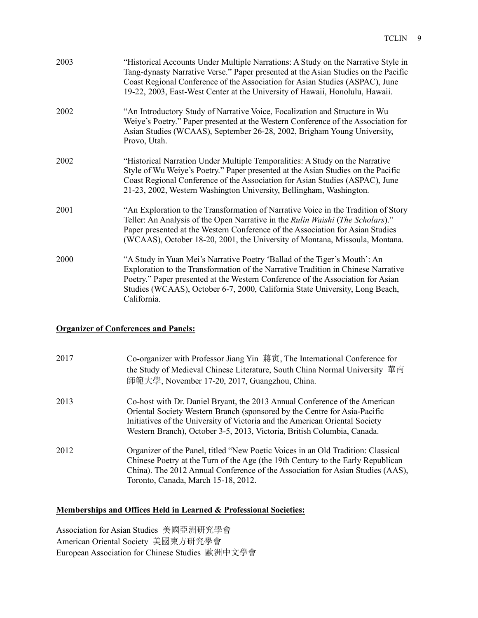| 2003 | "Historical Accounts Under Multiple Narrations: A Study on the Narrative Style in<br>Tang-dynasty Narrative Verse." Paper presented at the Asian Studies on the Pacific<br>Coast Regional Conference of the Association for Asian Studies (ASPAC), June<br>19-22, 2003, East-West Center at the University of Hawaii, Honolulu, Hawaii.          |
|------|--------------------------------------------------------------------------------------------------------------------------------------------------------------------------------------------------------------------------------------------------------------------------------------------------------------------------------------------------|
| 2002 | "An Introductory Study of Narrative Voice, Focalization and Structure in Wu<br>Weiye's Poetry." Paper presented at the Western Conference of the Association for<br>Asian Studies (WCAAS), September 26-28, 2002, Brigham Young University,<br>Provo, Utah.                                                                                      |
| 2002 | "Historical Narration Under Multiple Temporalities: A Study on the Narrative<br>Style of Wu Weiye's Poetry." Paper presented at the Asian Studies on the Pacific<br>Coast Regional Conference of the Association for Asian Studies (ASPAC), June<br>21-23, 2002, Western Washington University, Bellingham, Washington.                          |
| 2001 | "An Exploration to the Transformation of Narrative Voice in the Tradition of Story<br>Teller: An Analysis of the Open Narrative in the Rulin Waishi (The Scholars)."<br>Paper presented at the Western Conference of the Association for Asian Studies<br>(WCAAS), October 18-20, 2001, the University of Montana, Missoula, Montana.            |
| 2000 | "A Study in Yuan Mei's Narrative Poetry 'Ballad of the Tiger's Mouth': An<br>Exploration to the Transformation of the Narrative Tradition in Chinese Narrative<br>Poetry." Paper presented at the Western Conference of the Association for Asian<br>Studies (WCAAS), October 6-7, 2000, California State University, Long Beach,<br>California. |

# **Organizer of Conferences and Panels:**

| 2017 | Co-organizer with Professor Jiang Yin 蔣寅, The International Conference for<br>the Study of Medieval Chinese Literature, South China Normal University 華南<br>師範大學, November 17-20, 2017, Guangzhou, China.                                                                                                         |
|------|-------------------------------------------------------------------------------------------------------------------------------------------------------------------------------------------------------------------------------------------------------------------------------------------------------------------|
| 2013 | Co-host with Dr. Daniel Bryant, the 2013 Annual Conference of the American<br>Oriental Society Western Branch (sponsored by the Centre for Asia-Pacific<br>Initiatives of the University of Victoria and the American Oriental Society<br>Western Branch), October 3-5, 2013, Victoria, British Columbia, Canada. |
| 2012 | Organizer of the Panel, titled "New Poetic Voices in an Old Tradition: Classical<br>Chinese Poetry at the Turn of the Age (the 19th Century to the Early Republican<br>China). The 2012 Annual Conference of the Association for Asian Studies (AAS),<br>Toronto, Canada, March 15-18, 2012.                      |

### **Memberships and Offices Held in Learned & Professional Societies:**

Association for Asian Studies 美國亞洲研究學會 American Oriental Society 美國東方研究學會 European Association for Chinese Studies 歐洲中文學會